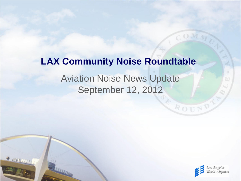# Aviation Noise News Update September 12, 2012 **LAX Community Noise Roundtable**

 $2000000$ 



ROUND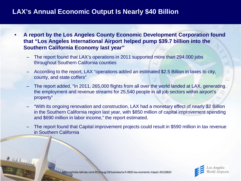# **LAX's Annual Economic Output Is Nearly \$40 Billion**

- **A report by the Los Angeles County Economic Development Corporation found that "Los Angeles International Airport helped pump \$39.7 billion into the Southern California Economy last year"**
	- The report found that LAX's operations in 2011 supported more than 294,000 jobs throughout Southern California counties
	- According to the report, LAX "operations added an estimated \$2.5 Billion in taxes to city, county, and state coffers"
	- The report added, "In 2011, 265,000 flights from all over the world landed at LAX, generating the employment and revenue streams for 25,540 people in all job sectors within airport's property"
	- "With its ongoing renovation and construction, LAX had a monetary effect of nearly \$2 Billion in the Southern California region last year, with \$850 million of capital improvement spending and \$690 million in labor income," the report estimated.
	- The report found that Capital improvement projects could result in \$590 million in tax revenue in Southern California



http://articles.latimes.com/2012/aug/20/business/la-fi-0820-lax-economic-impact-20120820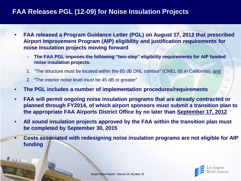#### **FAA Releases PGL (12-09) for Noise Insulation Projects**

- **FAA released a Program Guidance Letter (PGL) on August 17, 2012 that prescribed Airport Improvement Program (AIP) eligibility and justification requirements for noise insulation projects moving forward**
	- **The FAA PGL imposes the following "two-step" eligibility requirements for AIP funded noise insulation projects:**
	- 1. "The structure must be located within the 65 dB DNL contour" (CNEL 65 in California), and
	- 2. "The interior noise level must be 45 dB or greater"

**TITLE THE** 

 $2$  running

- **The PGL includes a number of implementation procedures/requirements**
- **FAA will permit ongoing noise insulation programs that are already contracted or planned through FY2014, of which airport sponsors must submit a transition plan to the appropriate FAA Airports District Office by no later than September 17, 2012**
- **All sound insulation projects approved by the FAA within the transition plan must be completed by September 30, 2015**
- **Costs associated with redesigning noise insulation programs are not eligible for AIP funding**

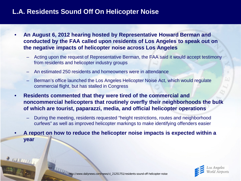# **L.A. Residents Sound Off On Helicopter Noise**

- **An August 6, 2012 hearing hosted by Representative Howard Berman and conducted by the FAA called upon residents of Los Angeles to speak out on the negative impacts of helicopter noise across Los Angeles**
	- Acting upon the request of Representative Berman, the FAA said it would accept testimony from residents and helicopter industry groups
	- An estimated 250 residents and homeowners were in attendance
	- Berman's office launched the Los Angeles Helicopter Noise Act, which would regulate commercial flight, but has stalled in Congress
- **Residents commented that they were tired of the commercial and noncommercial helicopters that routinely overfly their neighborhoods the bulk of which are tourist, paparazzi, media, and official helicopter operations**
	- During the meeting, residents requested "height restrictions, routes and neighborhood curfews" as well as improved helicopter markings to make identifying offenders easier
- **A report on how to reduce the helicopter noise impacts is expected within a year**

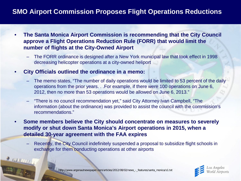# **SMO Airport Commission Proposes Flight Operations Reductions**

- **The Santa Monica Airport Commission is recommending that the City Council approve a Flight Operations Reduction Rule (FORR) that would limit the number of flights at the City-Owned Airport**
	- The FORR ordinance is designed after a New York municipal law that took effect in 1998 decreasing helicopter operations at a city-owned heliport
- **City Officials outlined the ordinance in a memo:**
	- The memo states, "The number of daily operations would be limited to 53 percent of the daily operations from the prior years. . .For example, if there were 100 operations on June 6, 2012, then no more than 53 operations would be allowed on June 6, 2013."
	- "There is no council recommendation yet," said City Attorney Ivan Campbell, "The information (about the ordinance) was provided to assist the council with the commission's recommendations."
- **Some members believe the City should concentrate on measures to severely modify or shut down Santa Monica's Airport operations in 2015, when a detailed 30-year agreement with the FAA expires**
	- Recently, the City Council indefinitely suspended a proposal to subsidize flight schools in exchange for them conducting operations at other airports



http://www.argonautnewspaper.com/articles/2012/08/02/news\_-\_features/santa\_monica/s1.txt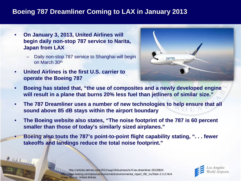# **Boeing 787 Dreamliner Coming to LAX in January 2013**

- **On January 3, 2013, United Airlines will begin daily non-stop 787 service to Narita, Japan from LAX**
	- Daily non-stop 787 service to Shanghai will begin on March 30th
- **United Airlines is the first U.S. carrier to operate the Boeing 787**

**PAULUT** 



- **Boeing has stated that, "the use of composites and a newly developed engine will result in a plane that burns 20% less fuel than jetliners of similar size."**
- **The 787 Dreamliner uses a number of new technologies to help ensure that all sound above 85 dB stays within the airport boundary**
- **The Boeing website also states, "The noise footprint of the 787 is 60 percent smaller than those of today's similarly sized airplanes."**
- **Boeing also touts the 787's point-to-point flight capability stating, ". . . fewer takeoffs and landings reduce the total noise footprint."**

http://articles.latimes.com/2012/aug/24/business/la-fi-lax-dreamliner-20120824 http://www.boeing.com/aboutus/environment/environmental\_report\_09/\_inc/flash-2-3-2.html Image Source: United Airlines

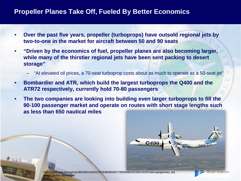#### **Propeller Planes Take Off, Fueled By Better Economics**

- **Over the past five years, propeller (turboprops) have outsold regional jets by two-to-one in the market for aircraft between 50 and 90 seats**
- **"Driven by the economics of fuel, propeller planes are also becoming larger, while many of the thirstier regional jets have been sent packing to desert storage"**
	- "At elevated oil prices, a 70-seat turboprop costs about as much to operate as a 50-seat jet"
- **Bombardier and ATR, which build the largest turboprops the Q400 and the ATR72 respectively, currently hold 70-80 passengers**
- **The two companies are looking into building even larger turboprops to fill the 90-100 passenger market and operate on routes with short stage lengths such as less than 650 nautical miles**



n/article/SB10001424052702303649504577495000914311914.html?mod=googlenews\_wsj Image Source: Bombardier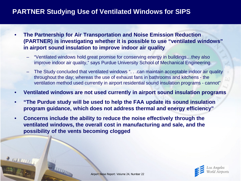# **PARTNER Studying Use of Ventilated Windows for SIPS**

- **The Partnership for Air Transportation and Noise Emission Reduction (PARTNER) is investigating whether it is possible to use "ventilated windows" in airport sound insulation to improve indoor air quality**
	- "Ventilated windows hold great promise for conserving energy in buildings…they also improve indoor air quality," says Purdue University School of Mechanical Engineering.
	- The Study concluded that ventilated windows ". . .can maintain acceptable indoor air quality throughout the day; whereas the use of exhaust fans in bathrooms and kitchens - the ventilation method used currently in airport residential sound insulation programs - cannot"
- **Ventilated windows are not used currently in airport sound insulation programs**
- **"The Purdue study will be used to help the FAA update its sound insulation program guidance, which does not address thermal and energy efficiency"**
- **Concerns include the ability to reduce the noise effectively through the ventilated windows, the overall cost in manufacturing and sale, and the possibility of the vents becoming clogged**